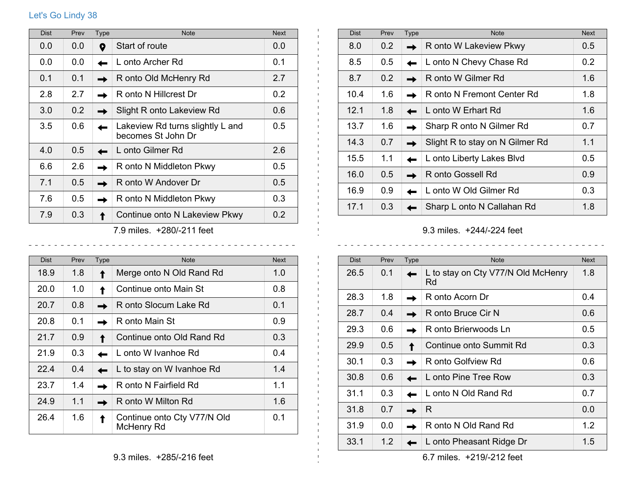## Let's Go Lindy 38

| <b>Dist</b> | Prev                      | Type | <b>Note</b>                                            | <b>Next</b>   |  |
|-------------|---------------------------|------|--------------------------------------------------------|---------------|--|
| 0.0         | 0.0                       | 9    | Start of route                                         | 0.0           |  |
| 0.0         | 0.0                       |      | L onto Archer Rd                                       | 0.1           |  |
| 0.1         | 0.1                       |      | R onto Old McHenry Rd                                  | 2.7           |  |
| 2.8         | 2.7                       |      | R onto N Hillcrest Dr                                  | 0.2           |  |
| 3.0         | 0.2                       |      | Slight R onto Lakeview Rd                              | 0.6           |  |
| 3.5         | 0.6                       |      | Lakeview Rd turns slightly L and<br>becomes St John Dr | $0.5^{\circ}$ |  |
| 4.0         | 0.5                       |      | L onto Gilmer Rd                                       | 2.6           |  |
| 6.6         | 2.6                       |      | R onto N Middleton Pkwy                                | $0.5^{\circ}$ |  |
| 7.1         | 0.5                       |      | R onto W Andover Dr                                    | 0.5           |  |
| 7.6         | 0.5                       |      | R onto N Middleton Pkwy                                | 0.3           |  |
| 7.9         | 0.3                       |      | Continue onto N Lakeview Pkwy                          | 0.2           |  |
|             | 7.9 miles. +280/-211 feet |      |                                                        |               |  |

| <b>Dist</b> | Prev | Type | <b>Note</b>                               | <b>Next</b> |
|-------------|------|------|-------------------------------------------|-------------|
| 18.9        | 1.8  |      | Merge onto N Old Rand Rd                  | 1.0         |
| 20.0        | 1.0  |      | Continue onto Main St                     | 0.8         |
| 20.7        | 0.8  |      | R onto Slocum Lake Rd                     | 0.1         |
| 20.8        | 0.1  |      | R onto Main St                            | 0.9         |
| 21.7        | 0.9  |      | Continue onto Old Rand Rd                 | 0.3         |
| 21.9        | 0.3  |      | L onto W Ivanhoe Rd                       | 0.4         |
| 22.4        | 0.4  |      | L to stay on W Ivanhoe Rd                 | 1.4         |
| 23.7        | 1.4  |      | R onto N Fairfield Rd                     | 1.1         |
| 24.9        | 1.1  |      | R onto W Milton Rd                        | 1.6         |
| 26.4        | 1.6  |      | Continue onto Cty V77/N Old<br>McHenry Rd | 0.1         |

| <b>Dist</b> | Prev          | <b>Type</b> | <b>Note</b>                     | <b>Next</b>      |
|-------------|---------------|-------------|---------------------------------|------------------|
| 8.0         | 0.2           |             | R onto W Lakeview Pkwy          | 0.5              |
| 8.5         | $0.5^{\circ}$ |             | L onto N Chevy Chase Rd         | 0.2 <sub>0</sub> |
| 8.7         | 0.2           |             | R onto W Gilmer Rd              | 1.6              |
| 10.4        | 1.6           |             | R onto N Fremont Center Rd      | 1.8              |
| 12.1        | 1.8           |             | L onto W Erhart Rd              | 1.6              |
| 13.7        | 1.6           |             | Sharp R onto N Gilmer Rd        | 0.7              |
| 14.3        | 0.7           |             | Slight R to stay on N Gilmer Rd | 1.1              |
| 15.5        | 1.1           |             | L onto Liberty Lakes Blvd       | 0.5              |
| 16.0        | 0.5           |             | R onto Gossell Rd               | 0.9              |
| 16.9        | 0.9           |             | L onto W Old Gilmer Rd          | 0.3              |
| 17.1        | 0.3           |             | Sharp L onto N Callahan Rd      | 1.8              |

9.3 miles. +244/-224 feet

 $\mathbf{1}$ 

 $\pm 1$ 

 $\frac{1}{2}$ 

| <b>Dist</b> | Prev | <b>Type</b> | <b>Note</b>                              | <b>Next</b> |
|-------------|------|-------------|------------------------------------------|-------------|
| 26.5        | 0.1  |             | L to stay on Cty V77/N Old McHenry<br>Rd | 1.8         |
| 28.3        | 1.8  |             | R onto Acorn Dr                          | 0.4         |
| 28.7        | 0.4  |             | R onto Bruce Cir N                       | 0.6         |
| 29.3        | 0.6  |             | R onto Brierwoods Ln                     | 0.5         |
| 29.9        | 0.5  |             | Continue onto Summit Rd                  | 0.3         |
| 30.1        | 0.3  |             | R onto Golfview Rd                       | 0.6         |
| 30.8        | 0.6  |             | L onto Pine Tree Row                     | 0.3         |
| 31.1        | 0.3  |             | L onto N Old Rand Rd                     | 0.7         |
| 31.8        | 0.7  |             | R                                        | 0.0         |
| 31.9        | 0.0  |             | R onto N Old Rand Rd                     | 1.2         |
| 33.1        | 1.2  |             | L onto Pheasant Ridge Dr                 | 1.5         |

6.7 miles. +219/-212 feet